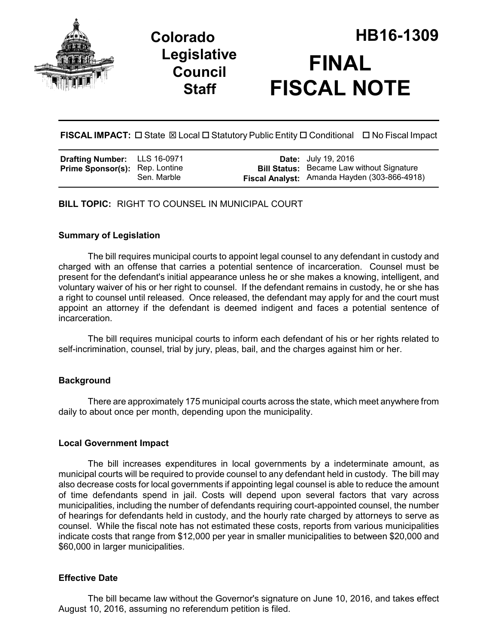

## **Legislative Council Staff**

# **Colorado HB16-1309 FINAL FISCAL NOTE**

**FISCAL IMPACT:** □ State  $\boxtimes$  Local □ Statutory Public Entity □ Conditional □ No Fiscal Impact

| Drafting Number: LLS 16-0971          |             | <b>Date:</b> July 19, 2016                          |
|---------------------------------------|-------------|-----------------------------------------------------|
| <b>Prime Sponsor(s):</b> Rep. Lontine |             | <b>Bill Status:</b> Became Law without Signature    |
|                                       | Sen. Marble | <b>Fiscal Analyst:</b> Amanda Hayden (303-866-4918) |

**BILL TOPIC:** RIGHT TO COUNSEL IN MUNICIPAL COURT

#### **Summary of Legislation**

The bill requires municipal courts to appoint legal counsel to any defendant in custody and charged with an offense that carries a potential sentence of incarceration. Counsel must be present for the defendant's initial appearance unless he or she makes a knowing, intelligent, and voluntary waiver of his or her right to counsel. If the defendant remains in custody, he or she has a right to counsel until released. Once released, the defendant may apply for and the court must appoint an attorney if the defendant is deemed indigent and faces a potential sentence of incarceration.

The bill requires municipal courts to inform each defendant of his or her rights related to self-incrimination, counsel, trial by jury, pleas, bail, and the charges against him or her.

## **Background**

There are approximately 175 municipal courts across the state, which meet anywhere from daily to about once per month, depending upon the municipality.

#### **Local Government Impact**

The bill increases expenditures in local governments by a indeterminate amount, as municipal courts will be required to provide counsel to any defendant held in custody. The bill may also decrease costs for local governments if appointing legal counsel is able to reduce the amount of time defendants spend in jail. Costs will depend upon several factors that vary across municipalities, including the number of defendants requiring court-appointed counsel, the number of hearings for defendants held in custody, and the hourly rate charged by attorneys to serve as counsel. While the fiscal note has not estimated these costs, reports from various municipalities indicate costs that range from \$12,000 per year in smaller municipalities to between \$20,000 and \$60,000 in larger municipalities.

#### **Effective Date**

The bill became law without the Governor's signature on June 10, 2016, and takes effect August 10, 2016, assuming no referendum petition is filed.